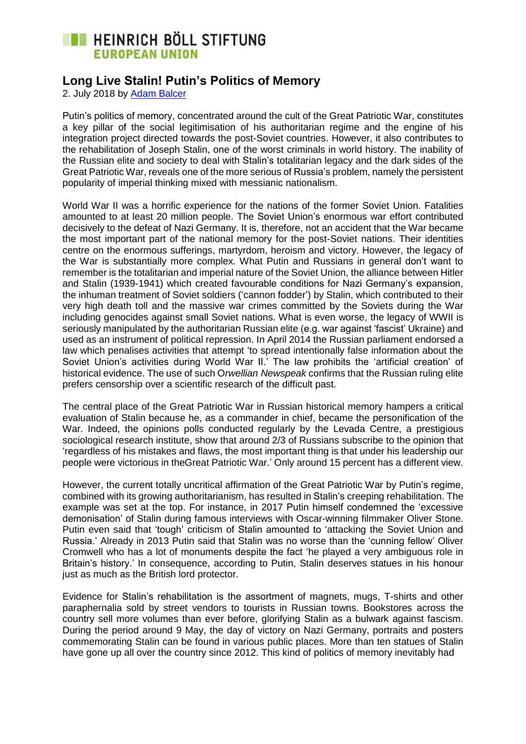## **EXECUTE HEINRICH BÖLL STIFTUNG EUROPEAN UNION**

## **Long Live Stalin! Putin's Politics of Memory**

2. July 2018 by [Adam Balcer](https://eu.boell.org/en/person/adam-balcer)

Putin's politics of memory, concentrated around the cult of the Great Patriotic War, constitutes a key pillar of the social legitimisation of his authoritarian regime and the engine of his integration project directed towards the post-Soviet countries. However, it also contributes to the rehabilitation of Joseph Stalin, one of the worst criminals in world history. The inability of the Russian elite and society to deal with Stalin's totalitarian legacy and the dark sides of the Great Patriotic War, reveals one of the more serious of Russia's problem, namely the persistent popularity of imperial thinking mixed with messianic nationalism.

World War II was a horrific experience for the nations of the former Soviet Union. Fatalities amounted to at least 20 million people. The Soviet Union's enormous war effort contributed decisively to the defeat of Nazi Germany. It is, therefore, not an accident that the War became the most important part of the national memory for the post-Soviet nations. Their identities centre on the enormous sufferings, martyrdom, heroism and victory. However, the legacy of the War is substantially more complex. What Putin and Russians in general don't want to remember is the totalitarian and imperial nature of the Soviet Union, the alliance between Hitler and Stalin (1939-1941) which created favourable conditions for Nazi Germany's expansion, the inhuman treatment of Soviet soldiers ('cannon fodder') by Stalin, which contributed to their very high death toll and the massive war crimes committed by the Soviets during the War including genocides against small Soviet nations. What is even worse, the legacy of WWII is seriously manipulated by the authoritarian Russian elite (e.g. war against 'fascist' Ukraine) and used as an instrument of political repression. In April 2014 the Russian parliament endorsed a law which penalises activities that attempt 'to spread intentionally false information about the Soviet Union's activities during World War II.' The law prohibits the 'artificial creation' of historical evidence. The use of such O*rwellian Newspeak* confirms that the Russian ruling elite prefers censorship over a scientific research of the difficult past.

The central place of the Great Patriotic War in Russian historical memory hampers a critical evaluation of Stalin because he, as a commander in chief, became the personification of the War. Indeed, the opinions polls conducted regularly by the Levada Centre, a prestigious sociological research institute, show that around 2/3 of Russians subscribe to the opinion that 'regardless of his mistakes and flaws, the most important thing is that under his leadership our people were victorious in theGreat Patriotic War.' Only around 15 percent has a different view.

However, the current totally uncritical affirmation of the Great Patriotic War by Putin's regime, combined with its growing authoritarianism, has resulted in Stalin's creeping rehabilitation. The example was set at the top. For instance, in 2017 Putin himself condemned the 'excessive demonisation' of Stalin during famous interviews with Oscar-winning filmmaker Oliver Stone. Putin even said that 'tough' criticism of Stalin amounted to 'attacking the Soviet Union and Russia.' Already in 2013 Putin said that Stalin was no worse than the 'cunning fellow' Oliver Cromwell who has a lot of monuments despite the fact 'he played a very ambiguous role in Britain's history.' In consequence, according to Putin, Stalin deserves statues in his honour just as much as the British lord protector.

Evidence for Stalin's rehabilitation is the assortment of magnets, mugs, T-shirts and other paraphernalia sold by street vendors to tourists in Russian towns. Bookstores across the country sell more volumes than ever before, glorifying Stalin as a bulwark against fascism. During the period around 9 May, the day of victory on Nazi Germany, portraits and posters commemorating Stalin can be found in various public places. More than ten statues of Stalin have gone up all over the country since 2012. This kind of politics of memory inevitably had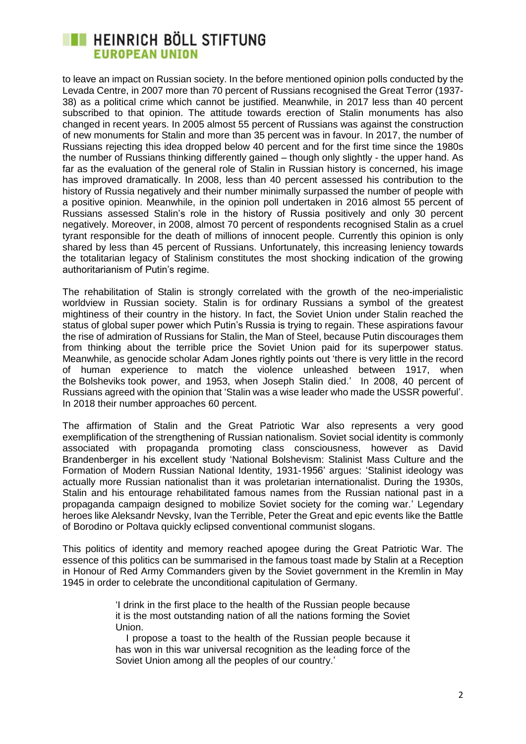## **EXECUTE HEINRICH BÖLL STIFTUNG EUROPEAN UNION**

to leave an impact on Russian society. In the before mentioned opinion polls conducted by the Levada Centre, in 2007 more than 70 percent of Russians recognised the Great Terror (1937- 38) as a political crime which cannot be justified. Meanwhile, in 2017 less than 40 percent subscribed to that opinion. The attitude towards erection of Stalin monuments has also changed in recent years. In 2005 almost 55 percent of Russians was against the construction of new monuments for Stalin and more than 35 percent was in favour. In 2017, the number of Russians rejecting this idea dropped below 40 percent and for the first time since the 1980s the number of Russians thinking differently gained – though only slightly - the upper hand. As far as the evaluation of the general role of Stalin in Russian history is concerned, his image has improved dramatically. In 2008, less than 40 percent assessed his contribution to the history of Russia negatively and their number minimally surpassed the number of people with a positive opinion. Meanwhile, in the opinion poll undertaken in 2016 almost 55 percent of Russians assessed Stalin's role in the history of Russia positively and only 30 percent negatively. Moreover, in 2008, almost 70 percent of respondents recognised Stalin as a cruel tyrant responsible for the death of millions of innocent people. Currently this opinion is only shared by less than 45 percent of Russians. Unfortunately, this increasing leniency towards the totalitarian legacy of Stalinism constitutes the most shocking indication of the growing authoritarianism of Putin's regime.

The rehabilitation of Stalin is strongly correlated with the growth of the neo-imperialistic worldview in Russian society. Stalin is for ordinary Russians a symbol of the greatest mightiness of their country in the history. In fact, the Soviet Union under Stalin reached the status of global super power which Putin's Russia is trying to regain. These aspirations favour the rise of admiration of Russians for Stalin, the Man of Steel, because Putin discourages them from thinking about the terrible price the Soviet Union paid for its superpower status. Meanwhile, as genocide scholar Adam Jones rightly points out 'there is very little in the record of human experience to match the violence unleashed between 1917, when the Bolsheviks took power, and 1953, when Joseph Stalin died.' In 2008, 40 percent of Russians agreed with the opinion that 'Stalin was a wise leader who made the USSR powerful'. In 2018 their number approaches 60 percent.

The affirmation of Stalin and the Great Patriotic War also represents a very good exemplification of the strengthening of Russian nationalism. Soviet social identity is commonly associated with propaganda promoting class consciousness, however as David Brandenberger in his excellent study 'National Bolshevism: Stalinist Mass Culture and the Formation of Modern Russian National Identity, 1931-1956' argues: 'Stalinist ideology was actually more Russian nationalist than it was proletarian internationalist. During the 1930s, Stalin and his entourage rehabilitated famous names from the Russian national past in a propaganda campaign designed to mobilize Soviet society for the coming war.' Legendary heroes like Aleksandr Nevsky, Ivan the Terrible, Peter the Great and epic events like the Battle of Borodino or Poltava quickly eclipsed conventional communist slogans.

This politics of identity and memory reached apogee during the Great Patriotic War. The essence of this politics can be summarised in the famous toast made by Stalin at a Reception in Honour of Red Army Commanders given by the Soviet government in the Kremlin in May 1945 in order to celebrate the unconditional capitulation of Germany.

> 'I drink in the first place to the health of the Russian people because it is the most outstanding nation of all the nations forming the Soviet Union.

> I propose a toast to the health of the Russian people because it has won in this war universal recognition as the leading force of the Soviet Union among all the peoples of our country.'